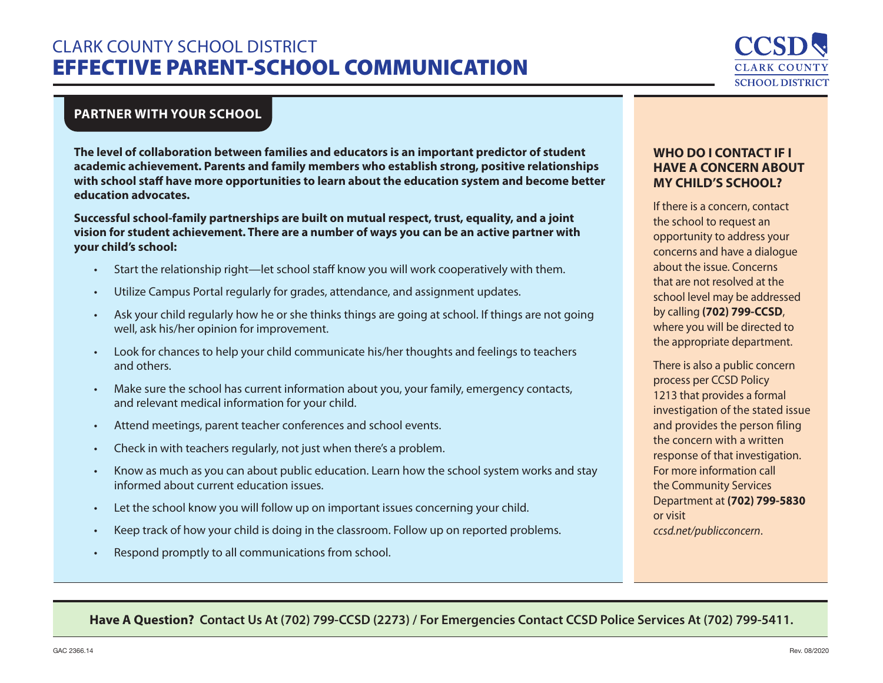# CLARK COUNTY SCHOOL DISTRICT EFFECTIVE PARENT-SCHOOL COMMUNICATION



## **PARTNER WITH YOUR SCHOOL**

**The level of collaboration between families and educators is an important predictor of student academic achievement. Parents and family members who establish strong, positive relationships with school staff have more opportunities to learn about the education system and become better education advocates.**

**Successful school-family partnerships are built on mutual respect, trust, equality, and a joint vision for student achievement. There are a number of ways you can be an active partner with your child's school:**

- Start the relationship right—let school staff know you will work cooperatively with them.
- Utilize Campus Portal regularly for grades, attendance, and assignment updates.
- Ask your child regularly how he or she thinks things are going at school. If things are not going well, ask his/her opinion for improvement.
- Look for chances to help your child communicate his/her thoughts and feelings to teachers and others.
- Make sure the school has current information about you, your family, emergency contacts, and relevant medical information for your child.
- Attend meetings, parent teacher conferences and school events.
- Check in with teachers regularly, not just when there's a problem.
- Know as much as you can about public education. Learn how the school system works and stay informed about current education issues.
- Let the school know you will follow up on important issues concerning your child.
- Keep track of how your child is doing in the classroom. Follow up on reported problems.
- Respond promptly to all communications from school.

#### **WHO DO I CONTACT IF I HAVE A CONCERN ABOUT MY CHILD'S SCHOOL?**

If there is a concern, contact the school to request an opportunity to address your concerns and have a dialogue about the issue. Concerns that are not resolved at the school level may be addressed by calling **(702) 799-CCSD**, where you will be directed to the appropriate department.

There is also a public concern process per CCSD Policy 1213 that provides a formal investigation of the stated issue and provides the person filing the concern with a written response of that investigation. For more information call the Community Services Department at **(702) 799-5830** or visit *ccsd.net/publicconcern*.

### **Have A Question? Contact Us At (702) 799-CCSD (2273) / For Emergencies Contact CCSD Police Services At (702) 799-5411.**